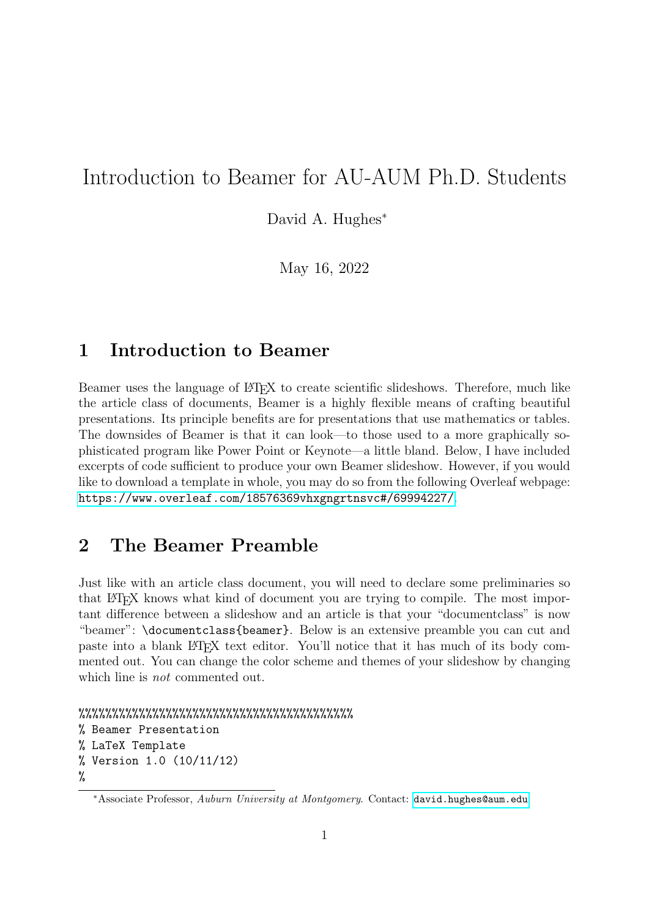# Introduction to Beamer for AU-AUM Ph.D. Students

David A. Hughes<sup>\*</sup>

May 16, 2022

### 1 Introduction to Beamer

Beamer uses the language of LATEX to create scientific slideshows. Therefore, much like the article class of documents, Beamer is a highly flexible means of crafting beautiful presentations. Its principle benefits are for presentations that use mathematics or tables. The downsides of Beamer is that it can look—to those used to a more graphically sophisticated program like Power Point or Keynote—a little bland. Below, I have included excerpts of code sufficient to produce your own Beamer slideshow. However, if you would like to download a template in whole, you may do so from the following Overleaf webpage: <https://www.overleaf.com/18576369vhxgngrtnsvc#/69994227/>.

#### 2 The Beamer Preamble

Just like with an article class document, you will need to declare some preliminaries so that LATEX knows what kind of document you are trying to compile. The most important difference between a slideshow and an article is that your "documentclass" is now "beamer": \documentclass{beamer}. Below is an extensive preamble you can cut and paste into a blank LATEX text editor. You'll notice that it has much of its body commented out. You can change the color scheme and themes of your slideshow by changing which line is *not* commented out.

```
%%%%%%%%%%%%%%%%%%%%%%%%%%%%%%%%%%%%%%%%%
% Beamer Presentation
% LaTeX Template
% Version 1.0 (10/11/12)
%
```
<sup>∗</sup>Associate Professor, Auburn University at Montgomery. Contact: <david.hughes@aum.edu>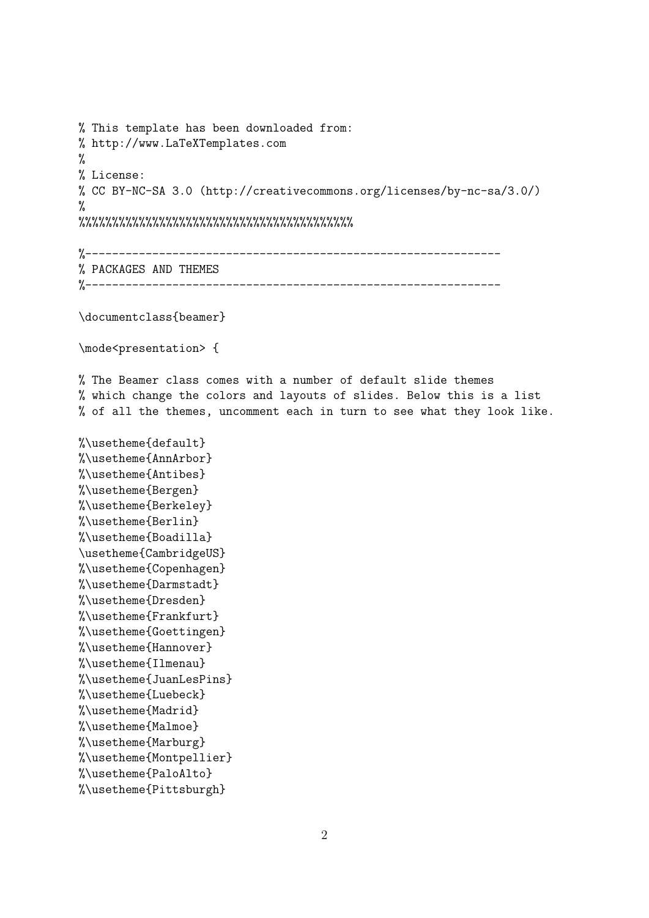```
% This template has been downloaded from:
% http://www.LaTeXTemplates.com
%
% License:
% CC BY-NC-SA 3.0 (http://creativecommons.org/licenses/by-nc-sa/3.0/)
%
%%%%%%%%%%%%%%%%%%%%%%%%%%%%%%%%%%%%%%%%%
%--------------------------------------------------------------
% PACKAGES AND THEMES
%--------------------------------------------------------------
\documentclass{beamer}
\mode<presentation> {
% The Beamer class comes with a number of default slide themes
% which change the colors and layouts of slides. Below this is a list
% of all the themes, uncomment each in turn to see what they look like.
%\usetheme{default}
%\usetheme{AnnArbor}
%\usetheme{Antibes}
%\usetheme{Bergen}
%\usetheme{Berkeley}
%\usetheme{Berlin}
%\usetheme{Boadilla}
\usetheme{CambridgeUS}
%\usetheme{Copenhagen}
%\usetheme{Darmstadt}
%\usetheme{Dresden}
%\usetheme{Frankfurt}
%\usetheme{Goettingen}
%\usetheme{Hannover}
%\usetheme{Ilmenau}
%\usetheme{JuanLesPins}
%\usetheme{Luebeck}
%\usetheme{Madrid}
%\usetheme{Malmoe}
%\usetheme{Marburg}
%\usetheme{Montpellier}
%\usetheme{PaloAlto}
%\usetheme{Pittsburgh}
```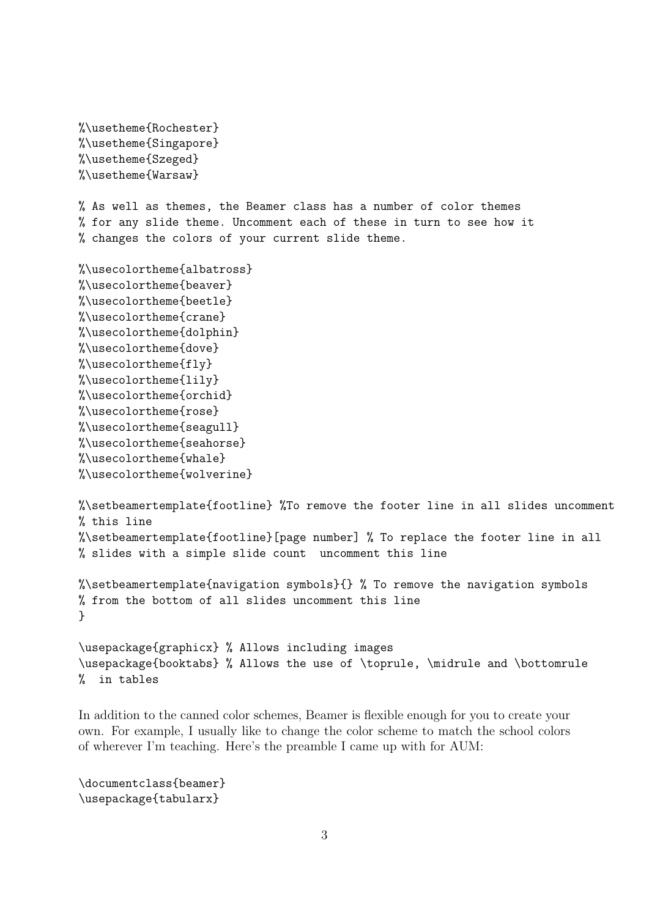```
%\usetheme{Rochester}
%\usetheme{Singapore}
%\usetheme{Szeged}
%\usetheme{Warsaw}
```
% As well as themes, the Beamer class has a number of color themes % for any slide theme. Uncomment each of these in turn to see how it % changes the colors of your current slide theme.

```
%\usecolortheme{albatross}
%\usecolortheme{beaver}
%\usecolortheme{beetle}
%\usecolortheme{crane}
%\usecolortheme{dolphin}
%\usecolortheme{dove}
%\usecolortheme{fly}
%\usecolortheme{lily}
%\usecolortheme{orchid}
%\usecolortheme{rose}
%\usecolortheme{seagull}
%\usecolortheme{seahorse}
%\usecolortheme{whale}
%\usecolortheme{wolverine}
```

```
%\setbeamertemplate{footline} %To remove the footer line in all slides uncomment
% this line
%\setbeamertemplate{footline}[page number] % To replace the footer line in all
% slides with a simple slide count uncomment this line
```

```
%\setbeamertemplate{navigation symbols}{} % To remove the navigation symbols
% from the bottom of all slides uncomment this line
}
```

```
\usepackage{graphicx} % Allows including images
\usepackage{booktabs} % Allows the use of \toprule, \midrule and \bottomrule
% in tables
```
In addition to the canned color schemes, Beamer is flexible enough for you to create your own. For example, I usually like to change the color scheme to match the school colors of wherever I'm teaching. Here's the preamble I came up with for AUM:

\documentclass{beamer} \usepackage{tabularx}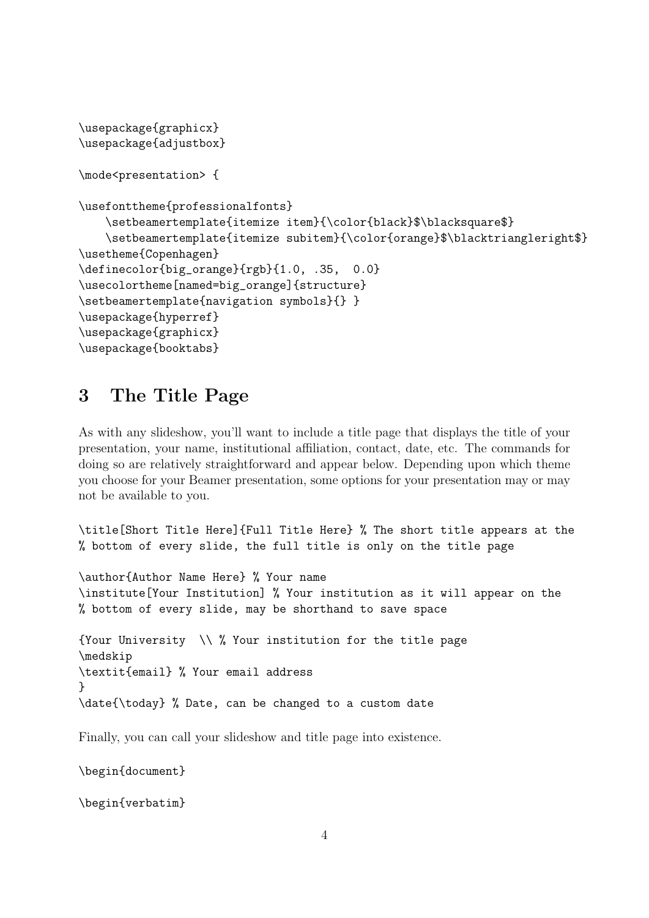```
\usepackage{graphicx}
\usepackage{adjustbox}
\mode<presentation> {
\usefonttheme{professionalfonts}
    \setbeamertemplate{itemize item}{\color{black}$\blacksquare$}
    \setbeamertemplate{itemize subitem}{\color{orange}$\blacktriangleright$}
\usetheme{Copenhagen}
\definecolor{big_orange}{rgb}{1.0, .35, 0.0}
\usecolortheme[named=big_orange]{structure}
\setbeamertemplate{navigation symbols}{} }
\usepackage{hyperref}
\usepackage{graphicx}
\usepackage{booktabs}
```
## 3 The Title Page

As with any slideshow, you'll want to include a title page that displays the title of your presentation, your name, institutional affiliation, contact, date, etc. The commands for doing so are relatively straightforward and appear below. Depending upon which theme you choose for your Beamer presentation, some options for your presentation may or may not be available to you.

\title[Short Title Here]{Full Title Here} % The short title appears at the % bottom of every slide, the full title is only on the title page

\author{Author Name Here} % Your name \institute[Your Institution] % Your institution as it will appear on the % bottom of every slide, may be shorthand to save space {Your University \\ % Your institution for the title page \medskip \textit{email} % Your email address }

\date{\today} % Date, can be changed to a custom date

Finally, you can call your slideshow and title page into existence.

\begin{document}

\begin{verbatim}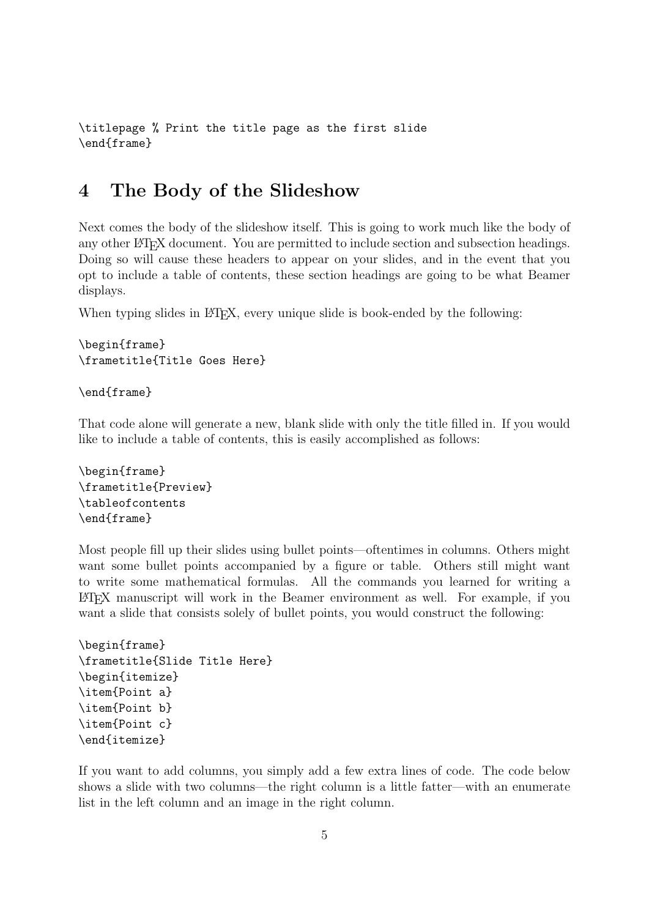```
\titlepage % Print the title page as the first slide
\end{frame}
```
#### 4 The Body of the Slideshow

Next comes the body of the slideshow itself. This is going to work much like the body of any other LATEX document. You are permitted to include section and subsection headings. Doing so will cause these headers to appear on your slides, and in the event that you opt to include a table of contents, these section headings are going to be what Beamer displays.

When typing slides in LATEX, every unique slide is book-ended by the following:

```
\begin{frame}
\frametitle{Title Goes Here}
```

```
\end{frame}
```
That code alone will generate a new, blank slide with only the title filled in. If you would like to include a table of contents, this is easily accomplished as follows:

```
\begin{frame}
\frametitle{Preview}
\tableofcontents
\end{frame}
```
Most people fill up their slides using bullet points—oftentimes in columns. Others might want some bullet points accompanied by a figure or table. Others still might want to write some mathematical formulas. All the commands you learned for writing a LATEX manuscript will work in the Beamer environment as well. For example, if you want a slide that consists solely of bullet points, you would construct the following:

```
\begin{frame}
\frametitle{Slide Title Here}
\begin{itemize}
\item{Point a}
\item{Point b}
\item{Point c}
\end{itemize}
```
If you want to add columns, you simply add a few extra lines of code. The code below shows a slide with two columns—the right column is a little fatter—with an enumerate list in the left column and an image in the right column.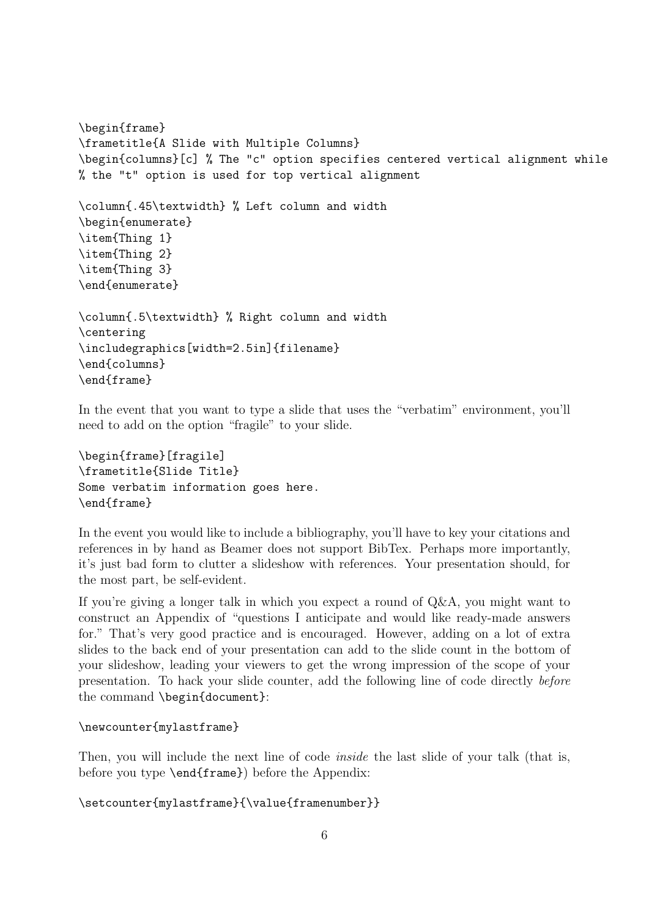```
\begin{frame}
\frametitle{A Slide with Multiple Columns}
\begin{columns}[c] % The "c" option specifies centered vertical alignment while
% the "t" option is used for top vertical alignment
\column{.45\textwidth} % Left column and width
\begin{enumerate}
\item{Thing 1}
\item{Thing 2}
\item{Thing 3}
\end{enumerate}
\column{.5\textwidth} % Right column and width
\centering
\includegraphics[width=2.5in]{filename}
\end{columns}
\end{frame}
```
In the event that you want to type a slide that uses the "verbatim" environment, you'll need to add on the option "fragile" to your slide.

```
\begin{frame}[fragile]
\frametitle{Slide Title}
Some verbatim information goes here.
\end{frame}
```
In the event you would like to include a bibliography, you'll have to key your citations and references in by hand as Beamer does not support BibTex. Perhaps more importantly, it's just bad form to clutter a slideshow with references. Your presentation should, for the most part, be self-evident.

If you're giving a longer talk in which you expect a round of Q&A, you might want to construct an Appendix of "questions I anticipate and would like ready-made answers for." That's very good practice and is encouraged. However, adding on a lot of extra slides to the back end of your presentation can add to the slide count in the bottom of your slideshow, leading your viewers to get the wrong impression of the scope of your presentation. To hack your slide counter, add the following line of code directly before the command \begin{document}:

```
\newcounter{mylastframe}
```
Then, you will include the next line of code *inside* the last slide of your talk (that is, before you type \end{frame}) before the Appendix:

```
\setcounter{mylastframe}{\value{framenumber}}
```